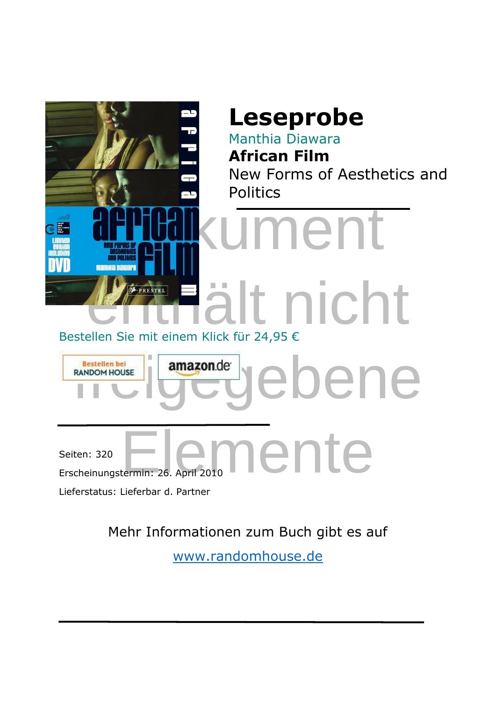

Mehr Informationen zum Buch gibt es auf

[www.randomhouse.de](https://www.randomhouse.de/book/edition.rhd?isbn=9783791343426)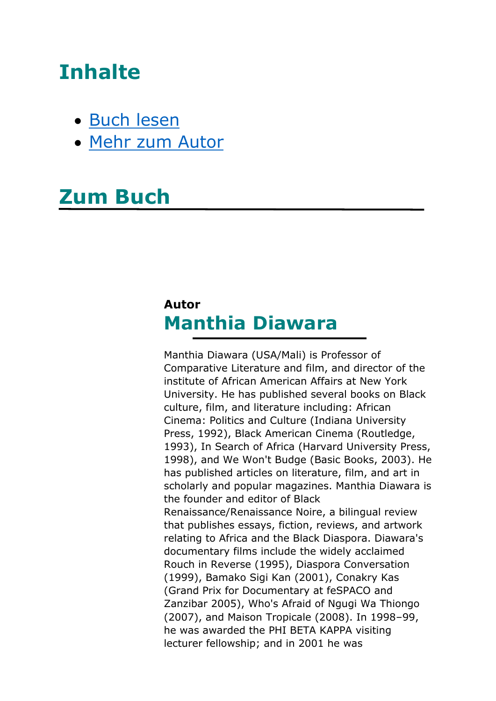## **Inhalte**

- [Buch lesen](#page-2-0)
- [Mehr zum Autor](#page-1-0)

## **Zum Buch**

## <span id="page-1-0"></span>**Autor Manthia Diawara**

Manthia Diawara (USA/Mali) is Professor of Comparative Literature and film, and director of the institute of African American Affairs at New York University. He has published several books on Black culture, film, and literature including: African Cinema: Politics and Culture (Indiana University Press, 1992), Black American Cinema (Routledge, 1993), In Search of Africa (Harvard University Press, 1998), and We Won't Budge (Basic Books, 2003). He has published articles on literature, film, and art in scholarly and popular magazines. Manthia Diawara is the founder and editor of Black Renaissance/Renaissance Noire, a bilingual review that publishes essays, fiction, reviews, and artwork relating to Africa and the Black Diaspora. Diawara's documentary films include the widely acclaimed Rouch in Reverse (1995), Diaspora Conversation (1999), Bamako Sigi Kan (2001), Conakry Kas (Grand Prix for Documentary at feSPACO and Zanzibar 2005), Who's Afraid of Ngugi Wa Thiongo (2007), and Maison Tropicale (2008). In 1998–99, he was awarded the PHI BETA KAPPA visiting lecturer fellowship; and in 2001 he was